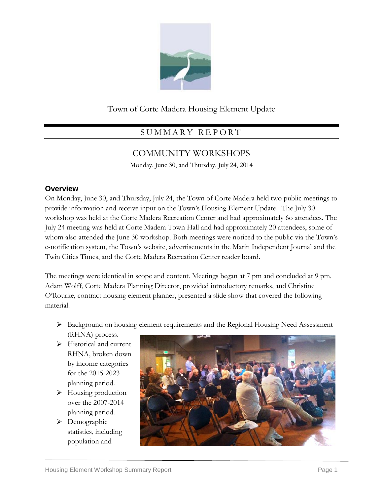

## Town of Corte Madera Housing Element Update

# S U M M A R Y R E P O R T

## COMMUNITY WORKSHOPS

Monday, June 30, and Thursday, July 24, 2014

## **Overview**

On Monday, June 30, and Thursday, July 24, the Town of Corte Madera held two public meetings to provide information and receive input on the Town's Housing Element Update. The July 30 workshop was held at the Corte Madera Recreation Center and had approximately 6o attendees. The July 24 meeting was held at Corte Madera Town Hall and had approximately 20 attendees, some of whom also attended the June 30 workshop. Both meetings were noticed to the public via the Town's e-notification system, the Town's website, advertisements in the Marin Independent Journal and the Twin Cities Times, and the Corte Madera Recreation Center reader board.

The meetings were identical in scope and content. Meetings began at 7 pm and concluded at 9 pm. Adam Wolff, Corte Madera Planning Director, provided introductory remarks, and Christine O'Rourke, contract housing element planner, presented a slide show that covered the following material:

- Background on housing element requirements and the Regional Housing Need Assessment (RHNA) process.
- $\triangleright$  Historical and current RHNA, broken down by income categories for the 2015-2023 planning period.
- > Housing production over the 2007-2014 planning period.
- > Demographic statistics, including population and

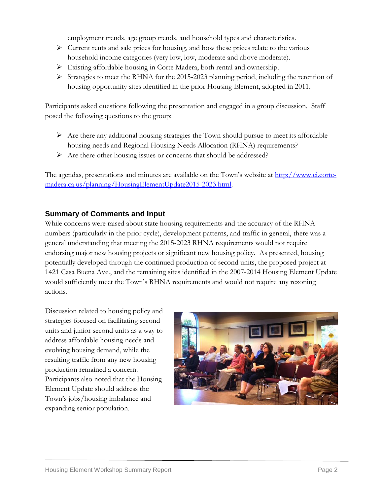employment trends, age group trends, and household types and characteristics.

- $\triangleright$  Current rents and sale prices for housing, and how these prices relate to the various household income categories (very low, low, moderate and above moderate).
- Existing affordable housing in Corte Madera, both rental and ownership.
- $\triangleright$  Strategies to meet the RHNA for the 2015-2023 planning period, including the retention of housing opportunity sites identified in the prior Housing Element, adopted in 2011.

Participants asked questions following the presentation and engaged in a group discussion. Staff posed the following questions to the group:

- $\triangleright$  Are there any additional housing strategies the Town should pursue to meet its affordable housing needs and Regional Housing Needs Allocation (RHNA) requirements?
- Are there other housing issues or concerns that should be addressed?

The agendas, presentations and minutes are available on the Town's website at [http://www.ci.corte](http://www.ci.corte-madera.ca.us/planning/HousingElementUpdate2015-2023.html)[madera.ca.us/planning/HousingElementUpdate2015-2023.html.](http://www.ci.corte-madera.ca.us/planning/HousingElementUpdate2015-2023.html)

### **Summary of Comments and Input**

While concerns were raised about state housing requirements and the accuracy of the RHNA numbers (particularly in the prior cycle), development patterns, and traffic in general, there was a general understanding that meeting the 2015-2023 RHNA requirements would not require endorsing major new housing projects or significant new housing policy. As presented, housing potentially developed through the continued production of second units, the proposed project at 1421 Casa Buena Ave., and the remaining sites identified in the 2007-2014 Housing Element Update would sufficiently meet the Town's RHNA requirements and would not require any rezoning actions.

Discussion related to housing policy and strategies focused on facilitating second units and junior second units as a way to address affordable housing needs and evolving housing demand, while the resulting traffic from any new housing production remained a concern. Participants also noted that the Housing Element Update should address the Town's jobs/housing imbalance and expanding senior population.

![](_page_1_Picture_11.jpeg)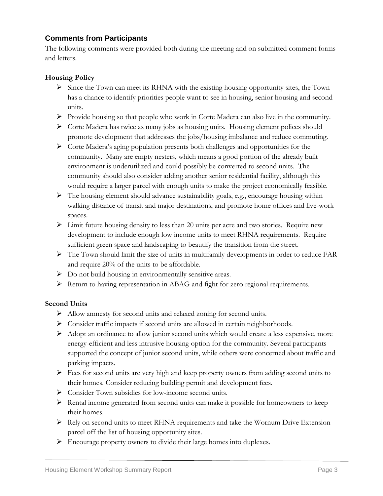## **Comments from Participants**

The following comments were provided both during the meeting and on submitted comment forms and letters.

### **Housing Policy**

- $\triangleright$  Since the Town can meet its RHNA with the existing housing opportunity sites, the Town has a chance to identify priorities people want to see in housing, senior housing and second units.
- $\triangleright$  Provide housing so that people who work in Corte Madera can also live in the community.
- $\triangleright$  Corte Madera has twice as many jobs as housing units. Housing element polices should promote development that addresses the jobs/housing imbalance and reduce commuting.
- Corte Madera's aging population presents both challenges and opportunities for the community. Many are empty nesters, which means a good portion of the already built environment is underutilized and could possibly be converted to second units. The community should also consider adding another senior residential facility, although this would require a larger parcel with enough units to make the project economically feasible.
- $\triangleright$  The housing element should advance sustainability goals, e.g., encourage housing within walking distance of transit and major destinations, and promote home offices and live-work spaces.
- $\triangleright$  Limit future housing density to less than 20 units per acre and two stories. Require new development to include enough low income units to meet RHNA requirements. Require sufficient green space and landscaping to beautify the transition from the street.
- $\triangleright$  The Town should limit the size of units in multifamily developments in order to reduce FAR and require 20% of the units to be affordable.
- $\triangleright$  Do not build housing in environmentally sensitive areas.
- Return to having representation in ABAG and fight for zero regional requirements.

#### **Second Units**

- Allow amnesty for second units and relaxed zoning for second units.
- Consider traffic impacts if second units are allowed in certain neighborhoods.
- $\triangleright$  Adopt an ordinance to allow junior second units which would create a less expensive, more energy-efficient and less intrusive housing option for the community. Several participants supported the concept of junior second units, while others were concerned about traffic and parking impacts.
- $\triangleright$  Fees for second units are very high and keep property owners from adding second units to their homes. Consider reducing building permit and development fees.
- Consider Town subsidies for low-income second units.
- $\triangleright$  Rental income generated from second units can make it possible for homeowners to keep their homes.
- Rely on second units to meet RHNA requirements and take the Wornum Drive Extension parcel off the list of housing opportunity sites.
- Encourage property owners to divide their large homes into duplexes.